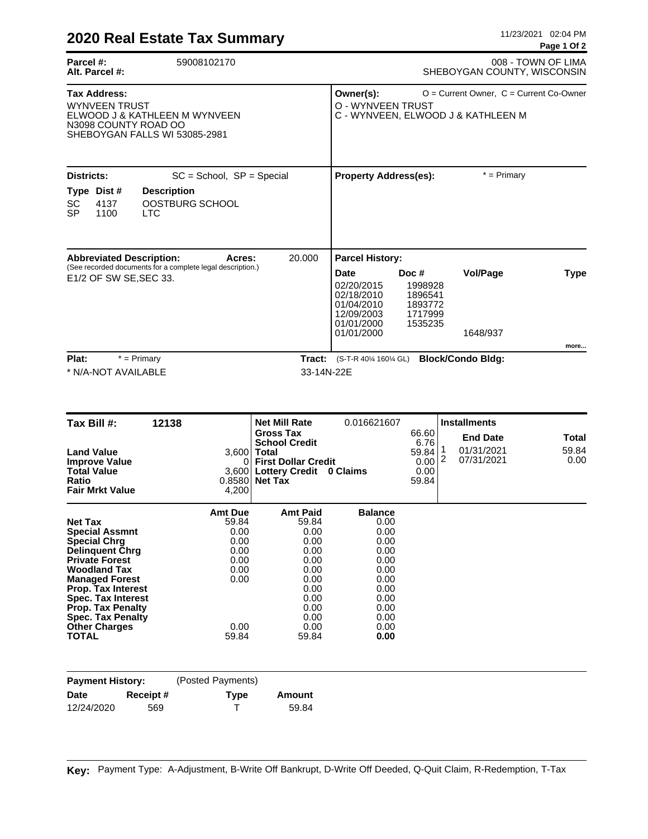|                                                                                                                                                                                                                                                                                                                             |                                                                                                                                                                                                                                         |                                                                                                |                                                                                |                                                   | <u>. ugu . v. r</u>    |
|-----------------------------------------------------------------------------------------------------------------------------------------------------------------------------------------------------------------------------------------------------------------------------------------------------------------------------|-----------------------------------------------------------------------------------------------------------------------------------------------------------------------------------------------------------------------------------------|------------------------------------------------------------------------------------------------|--------------------------------------------------------------------------------|---------------------------------------------------|------------------------|
| 59008102170<br>Parcel #:<br>Alt. Parcel #:                                                                                                                                                                                                                                                                                  |                                                                                                                                                                                                                                         |                                                                                                |                                                                                | 008 - TOWN OF LIMA<br>SHEBOYGAN COUNTY, WISCONSIN |                        |
| <b>Tax Address:</b><br><b>WYNVEEN TRUST</b><br>ELWOOD J & KATHLEEN M WYNVEEN<br>N3098 COUNTY ROAD OO<br>SHEBOYGAN FALLS WI 53085-2981                                                                                                                                                                                       | $O =$ Current Owner, $C =$ Current Co-Owner<br>Owner(s):<br>O - WYNVEEN TRUST<br>C - WYNVEEN, ELWOOD J & KATHLEEN M                                                                                                                     |                                                                                                |                                                                                |                                                   |                        |
| Districts:<br>$SC = School$ , $SP = Special$                                                                                                                                                                                                                                                                                |                                                                                                                                                                                                                                         | <b>Property Address(es):</b>                                                                   |                                                                                | $*$ = Primary                                     |                        |
| Type Dist #<br><b>Description</b><br>SC<br>4137<br>OOSTBURG SCHOOL<br>1100<br>SP<br><b>LTC</b>                                                                                                                                                                                                                              |                                                                                                                                                                                                                                         |                                                                                                |                                                                                |                                                   |                        |
| <b>Abbreviated Description:</b><br>Acres:<br>(See recorded documents for a complete legal description.)<br>E1/2 OF SW SE, SEC 33.                                                                                                                                                                                           | <b>Parcel History:</b><br><b>Vol/Page</b><br><b>Date</b><br>Doc #<br><b>Type</b><br>02/20/2015<br>1998928<br>02/18/2010<br>1896541<br>01/04/2010<br>1893772<br>12/09/2003<br>1717999<br>01/01/2000<br>1535235<br>01/01/2000<br>1648/937 |                                                                                                |                                                                                |                                                   |                        |
| Plat:<br>$*$ = Primary                                                                                                                                                                                                                                                                                                      |                                                                                                                                                                                                                                         | Tract: (S-T-R 40¼ 160¼ GL) Block/Condo Bldg:                                                   |                                                                                |                                                   | more                   |
| * N/A-NOT AVAILABLE<br>Tax Bill #:<br>12138                                                                                                                                                                                                                                                                                 | 33-14N-22E<br><b>Net Mill Rate</b>                                                                                                                                                                                                      | 0.016621607                                                                                    |                                                                                | <b>Installments</b>                               |                        |
| <b>Land Value</b><br><b>Improve Value</b><br><b>Total Value</b><br>Ratio<br><b>Fair Mrkt Value</b><br>4,200                                                                                                                                                                                                                 | <b>Gross Tax</b><br><b>School Credit</b><br>$3,600$ Total<br>0 First Dollar Credit<br>3,600 Lottery Credit 0 Claims<br>$0.8580$ Net Tax                                                                                                 |                                                                                                | 66.60<br>6.76<br>$\mathbf{1}$<br>59.84<br>$0.00$ <sup>2</sup><br>0.00<br>59.84 | <b>End Date</b><br>01/31/2021<br>07/31/2021       | Total<br>59.84<br>0.00 |
| <b>Amt Due</b><br>59.84<br><b>Net Tax</b><br><b>Special Assmnt</b><br>0.00<br>0.00<br><b>Special Chrg</b><br>0.00<br><b>Delinquent Chrg</b><br><b>Private Forest</b><br>0.00<br>0.00<br><b>Woodland Tax</b><br>0.00<br><b>Managed Forest</b><br>Prop. Tax Interest<br><b>Spec. Tax Interest</b><br><b>Prop. Tax Penalty</b> | <b>Amt Paid</b><br>59.84<br>0.00<br>0.00<br>0.00<br>0.00<br>0.00<br>0.00<br>0.00<br>0.00                                                                                                                                                | <b>Balance</b><br>0.00<br>0.00<br>0.00<br>0.00<br>0.00<br>0.00<br>0.00<br>0.00<br>0.00<br>0.00 |                                                                                |                                                   |                        |
| <b>Spec. Tax Penalty</b><br><b>Other Charges</b><br>0.00<br><b>TOTAL</b><br>59.84                                                                                                                                                                                                                                           | 0.00<br>0.00<br>0.00<br>59.84                                                                                                                                                                                                           | 0.00<br>0.00<br>0.00                                                                           |                                                                                |                                                   |                        |
| (Posted Payments)<br><b>Payment History:</b>                                                                                                                                                                                                                                                                                |                                                                                                                                                                                                                                         |                                                                                                |                                                                                |                                                   |                        |